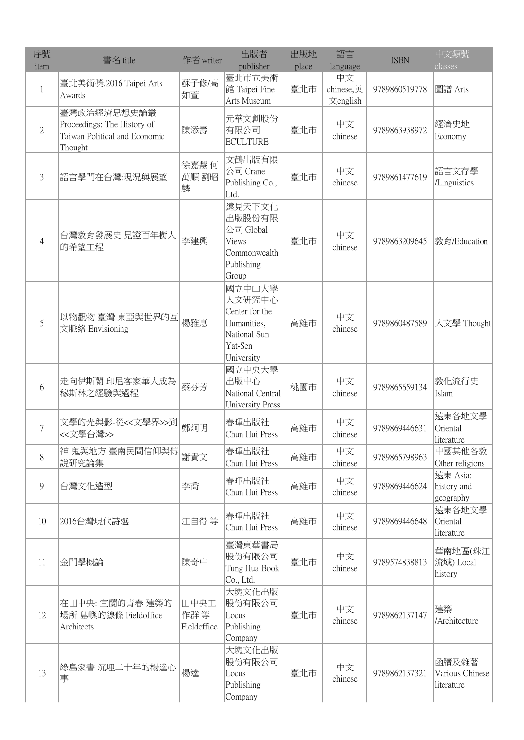| 序號<br>item     | 書名 title                                                                               | 作者 writer                   | 出版者<br>publisher                                                                           | 出版地<br>place | 語言<br>language              | <b>ISBN</b>   | 中文類號<br>classes                        |
|----------------|----------------------------------------------------------------------------------------|-----------------------------|--------------------------------------------------------------------------------------------|--------------|-----------------------------|---------------|----------------------------------------|
| 1              | 臺北美術獎.2016 Taipei Arts<br>Awards                                                       | 蘇子修/高<br>如萱                 | 臺北市立美術<br>館 Taipei Fine<br>Arts Museum                                                     | 臺北市          | 中文<br>chinese,英<br>文english | 9789860519778 | 圖譜 Arts                                |
| $\overline{2}$ | 臺灣政治經濟思想史論叢<br>Proceedings: The History of<br>Taiwan Political and Economic<br>Thought | 陳添壽                         | 元華文創股份<br>有限公司<br><b>ECULTURE</b>                                                          | 臺北市          | 中文<br>chinese               | 9789863938972 | 經濟史地<br>Economy                        |
| 3              | 語言學門在台灣:現況與展望                                                                          | 徐嘉慧 何<br>萬順 劉昭<br>麟         | 文鶴出版有限<br>公司 Crane<br>Publishing Co.,<br>Ltd.                                              | 臺北市          | 中文<br>chinese               | 9789861477619 | 語言文存學<br>/Linguistics                  |
| 4              | 台灣教育發展史 見證百年樹人<br>的希望工程                                                                | 李建興                         | 遠見天下文化<br>出版股份有限<br>公司 Global<br>Views $-$<br>Commonwealth<br>Publishing<br>Group          | 臺北市          | 中文<br>chinese               | 9789863209645 | 教育/Education                           |
| 5              | 以物觀物 臺灣 東亞與世界的互<br>文脈絡 Envisioning                                                     | 楊雅惠                         | 國立中山大學<br>人文研究中心<br>Center for the<br>Humanities,<br>National Sun<br>Yat-Sen<br>University | 高雄市          | 中文<br>chinese               | 9789860487589 | 人文學 Thought                            |
| 6              | 走向伊斯蘭 印尼客家華人成為<br>穆斯林之經驗與過程                                                            | 蔡芬芳                         | 國立中央大學<br>出版中心<br>National Central<br><b>University Press</b>                              | 桃園市          | 中文<br>chinese               | 9789865659134 | 教化流行史<br>Islam                         |
| 7              | 文學的光與影-從<<文學界>>到<br><<文學台灣>>                                                           | 鄭炯明                         | 春暉出版社<br>Chun Hui Press                                                                    | 高雄市          | 中文<br>chinese               | 9789869446631 | 遠東各地文學<br>Oriental<br>literature       |
| 8              | 神 鬼與地方 臺南民間信仰與傳<br>說研究論集                                                               | 謝貴文                         | 春暉出版社<br>Chun Hui Press                                                                    | 高雄市          | 中文<br>chinese               | 9789865798963 | 中國其他各教<br>Other religions              |
| 9              | 台灣文化造型                                                                                 | 李喬                          | 春暉出版社<br>Chun Hui Press                                                                    | 高雄市          | 中文<br>chinese               | 9789869446624 | 遠東 Asia:<br>history and<br>geography   |
| 10             | 2016台灣現代詩選                                                                             | 江自得等                        | 春暉出版社<br>Chun Hui Press                                                                    | 高雄市          | 中文<br>chinese               | 9789869446648 | 遠東各地文學<br>Oriental<br>literature       |
| 11             | 金門學概論                                                                                  | 陳奇中                         | 臺灣東華書局<br>股份有限公司<br>Tung Hua Book<br>Co., Ltd.                                             | 臺北市          | 中文<br>chinese               | 9789574838813 | 華南地區(珠江<br>流域) Local<br>history        |
| 12             | 在田中央: 宜蘭的青春 建築的<br>場所 島嶼的線條 Fieldoffice<br>Architects                                  | 田中央工<br>作群 等<br>Fieldoffice | 大塊文化出版<br>股份有限公司<br>Locus<br>Publishing<br>Company                                         | 臺北市          | 中文<br>chinese               | 9789862137147 | 建築<br>/Architecture                    |
| 13             | 綠島家書 沉埋二十年的楊逵心<br>事                                                                    | 楊逵                          | 大塊文化出版<br>股份有限公司<br>Locus<br>Publishing<br>Company                                         | 臺北市          | 中文<br>chinese               | 9789862137321 | 函牘及雜著<br>Various Chinese<br>literature |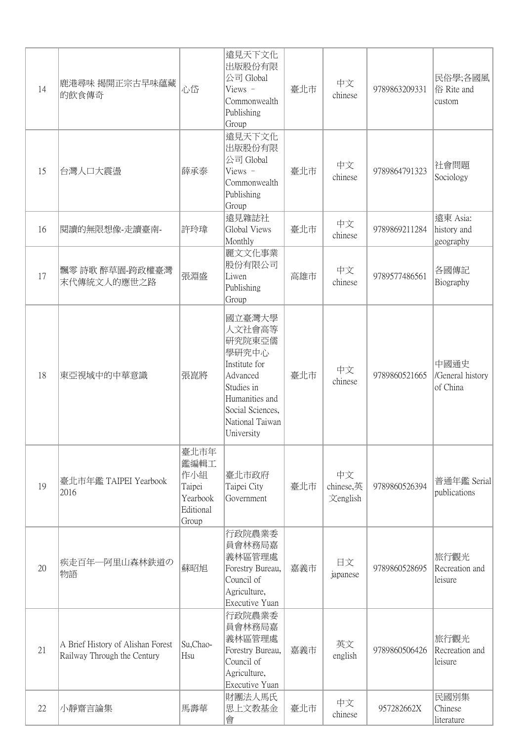| 14 | 鹿港尋味 揭開正宗古早味蘊藏<br>的飲食傳奇                                          | 心岱                                                              | 遠見天下文化<br>出版股份有限<br>公司 Global<br>Views -<br>Commonwealth<br>Publishing<br>Group                                                                       | 臺北市 | 中文<br>chinese               | 9789863209331 | 民俗學;各國風<br>俗 Rite and<br>custom      |
|----|------------------------------------------------------------------|-----------------------------------------------------------------|-------------------------------------------------------------------------------------------------------------------------------------------------------|-----|-----------------------------|---------------|--------------------------------------|
| 15 | 台灣人口大震盪                                                          | 薛承泰                                                             | 遠見天下文化<br>出版股份有限<br>公司 Global<br>Views $-$<br>Commonwealth<br>Publishing<br>Group                                                                     | 臺北市 | 中文<br>chinese               | 9789864791323 | 社會問題<br>Sociology                    |
| 16 | 閱讀的無限想像-走讀臺南-                                                    | 許玲瑋                                                             | 遠見雜誌社<br>Global Views<br>Monthly                                                                                                                      | 臺北市 | 中文<br>chinese               | 9789869211284 | 遠東 Asia:<br>history and<br>geography |
| 17 | 飄零 詩歌 醉草園-跨政權臺灣<br>末代傳統文人的應世之路                                   | 張淵盛                                                             | 麗文文化事業<br>股份有限公司<br>Liwen<br>Publishing<br>Group                                                                                                      | 高雄市 | 中文<br>chinese               | 9789577486561 | 各國傳記<br>Biography                    |
| 18 | 東亞視域中的中華意識                                                       | 張崑將                                                             | 國立臺灣大學<br>人文社會高等<br>研究院東亞儒<br>學研究中心<br>Institute for<br>Advanced<br>Studies in<br>Humanities and<br>Social Sciences,<br>National Taiwan<br>University | 臺北市 | 中文<br>chinese               | 9789860521665 | 中國通史<br>/General history<br>of China |
| 19 | 臺北市年鑑 TAIPEI Yearbook<br>2016                                    | 臺北市年<br>鑑編輯工<br>作小組<br>Taipei<br>Yearbook<br>Editional<br>Group | 臺北市政府<br>Taipei City<br>Government                                                                                                                    | 臺北市 | 中文<br>chinese,英<br>文english | 9789860526394 | 普通年鑑 Serial<br>publications          |
| 20 | 疾走百年一阿里山森林鉄道の<br>物語                                              | 蘇昭旭                                                             | 行政院農業委<br>員會林務局嘉<br>義林區管理處<br>Forestry Bureau,<br>Council of<br>Agriculture,<br>Executive Yuan                                                        | 嘉義市 | 日文<br>japanese              | 9789860528695 | 旅行觀光<br>Recreation and<br>leisure    |
| 21 | A Brief History of Alishan Forest<br>Railway Through the Century | Su,Chao-<br>Hsu                                                 | 行政院農業委<br>員會林務局嘉<br>義林區管理處<br>Forestry Bureau,<br>Council of<br>Agriculture,<br>Executive Yuan                                                        | 嘉義市 | 英文<br>english               | 9789860506426 | 旅行觀光<br>Recreation and<br>leisure    |
| 22 | 小靜齋言論集                                                           | 馬壽華                                                             | 財團法人馬氏<br>思上文教基金<br>會                                                                                                                                 | 臺北市 | 中文<br>chinese               | 957282662X    | 民國別集<br>Chinese<br>literature        |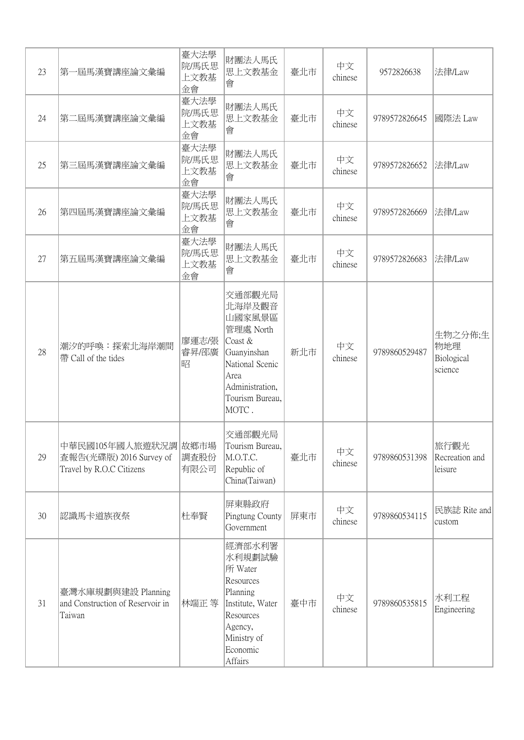| 23 | 第一屆馬漢寶講座論文彙編                                                                | 臺大法學<br>院/馬氏思<br>上文教基<br>金會 | 財團法人馬氏<br>思上文教基金<br>會                                                                                                                       | 臺北市 | 中文<br>chinese | 9572826638    | 法律/Law                                  |
|----|-----------------------------------------------------------------------------|-----------------------------|---------------------------------------------------------------------------------------------------------------------------------------------|-----|---------------|---------------|-----------------------------------------|
| 24 | 第二屆馬漢寶講座論文彙編                                                                | 臺大法學<br>院/馬氏思<br>上文教基<br>金會 | 財團法人馬氏<br>思上文教基金<br>會                                                                                                                       | 臺北市 | 中文<br>chinese | 9789572826645 | 國際法 Law                                 |
| 25 | 第三屆馬漢寶講座論文彙編                                                                | 臺大法學<br>院/馬氏思<br>上文教基<br>金會 | 財團法人馬氏<br>思上文教基金<br>會                                                                                                                       | 臺北市 | 中文<br>chinese | 9789572826652 | 法律/Law                                  |
| 26 | 第四屆馬漢寶講座論文彙編                                                                | 臺大法學<br>院/馬氏思<br>上文教基<br>金會 | 財團法人馬氏<br>思上文教基金<br>會                                                                                                                       | 臺北市 | 中文<br>chinese | 9789572826669 | 法律/Law                                  |
| 27 | 第五屆馬漢寶講座論文彙編                                                                | 臺大法學<br>院/馬氏思<br>上文教基<br>金會 | 財團法人馬氏<br>思上文教基金<br>會                                                                                                                       | 臺北市 | 中文<br>chinese | 9789572826683 | 法律/Law                                  |
| 28 | 潮汐的呼唤:探索北海岸潮間<br>帶 Call of the tides                                        | 廖運志/張<br>睿昇/邵廣<br>昭         | 交通部觀光局<br>北海岸及觀音<br>山國家風景區<br>管理處 North<br>Coast &<br>Guanyinshan<br>National Scenic<br>Area<br>Administration,<br>Tourism Bureau,<br>MOTC. | 新北市 | 中文<br>chinese | 9789860529487 | 生物之分佈;生<br>物地理<br>Biological<br>science |
| 29 | 中華民國105年國人旅遊狀況調 故鄉市場<br>查報告(光碟版) 2016 Survey of<br>Travel by R.O.C Citizens | 調査股份<br>有限公司                | 交通部觀光局<br>Tourism Bureau,<br>M.O.T.C.<br>Republic of<br>China(Taiwan)                                                                       | 臺北市 | 中文<br>chinese | 9789860531398 | 旅行觀光<br>Recreation and<br>leisure       |
| 30 | 認識馬卡道族夜祭                                                                    | 杜奉賢                         | 屏東縣政府<br>Pingtung County<br>Government                                                                                                      | 屏東市 | 中文<br>chinese | 9789860534115 | 民族誌 Rite and<br>custom                  |
| 31 | 臺灣水庫規劃與建設 Planning<br>and Construction of Reservoir in<br>Taiwan            | 林端正 等                       | 經濟部水利署<br>水利規劃試驗<br>所 Water<br>Resources<br>Planning<br>Institute, Water<br>Resources<br>Agency,<br>Ministry of<br>Economic<br>Affairs      | 臺中市 | 中文<br>chinese | 9789860535815 | 水利工程<br>Engineering                     |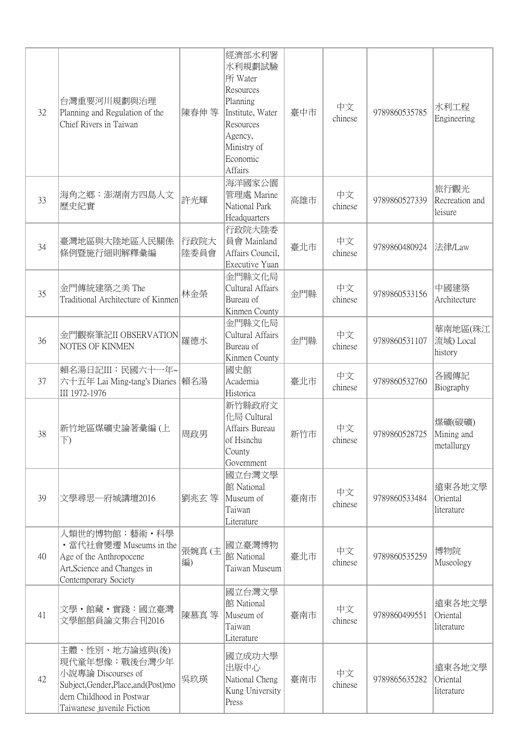| 32 | 台灣重要河川規劃與治理<br>Planning and Regulation of the<br>Chief Rivers in Taiwan                                                                                   | 陳春伸等         | 經濟部水利署<br>水利規劃試驗<br>所 Water<br>Resources<br>Planning<br>Institute, Water<br>Resources<br>Agency,<br>Ministry of<br>Economic<br>Affairs | 臺中市 | 中文<br>chinese | 9789860535785 | 水利工程<br>Engineering                |
|----|-----------------------------------------------------------------------------------------------------------------------------------------------------------|--------------|----------------------------------------------------------------------------------------------------------------------------------------|-----|---------------|---------------|------------------------------------|
| 33 | 海角之鄉:澎湖南方四島人文<br>歷史紀實                                                                                                                                     | 許光輝          | 海洋國家公園<br>管理處 Marine<br>National Park<br>Headquarters                                                                                  | 高雄市 | 中文<br>chinese | 9789860527339 | 旅行觀光<br>Recreation and<br>leisure  |
| 34 | 臺灣地區與大陸地區人民關係<br>條例暨施行細則解釋彙編                                                                                                                              | 行政院大<br>陸委員會 | 行政院大陸委<br>員會 Mainland<br>Affairs Council,<br>Executive Yuan                                                                            | 臺北市 | 中文<br>chinese | 9789860480924 | 法律/Law                             |
| 35 | 金門傳統建築之美 The<br>Traditional Architecture of Kinmen                                                                                                        | 林金榮          | 金門縣文化局<br>Cultural Affairs<br>Bureau of<br>Kinmen County                                                                               | 金門縣 | 中文<br>chinese | 9789860533156 | 中國建築<br>Architecture               |
| 36 | 金門觀察筆記II OBSERVATION<br>NOTES OF KINMEN                                                                                                                   | 羅德水          | 金門縣文化局<br>Cultural Affairs<br>Bureau of<br>Kinmen County                                                                               | 金門縣 | 中文<br>chinese | 9789860531107 | 華南地區(珠江<br>流域) Local<br>history    |
| 37 | 賴名湯日記III: 民國六十一年~<br>六十五年 Lai Ming-tang's Diaries  賴名湯<br>III 1972-1976                                                                                   |              | 國史館<br>Academia<br>Historica                                                                                                           | 臺北市 | 中文<br>chinese | 9789860532760 | 各國傳記<br>Biography                  |
| 38 | 新竹地區煤礦史論著彙編(上<br>$\overline{\uparrow})$                                                                                                                   | 周政男          | 新竹縣政府文<br>化局 Cultural<br>Affairs Bureau<br>of Hsinchu<br>County<br>Government                                                          | 新竹市 | 中文<br>chinese | 9789860528725 | 煤礦(碳礦)<br>Mining and<br>metallurgy |
| 39 | 文學尋思一府城講壇2016                                                                                                                                             | 劉兆玄 等        | 國立台灣文學<br>館 National<br>Museum of<br>Taiwan<br>Literature                                                                              | 臺南市 | 中文<br>chinese | 9789860533484 | 遠東各地文學<br>Oriental<br>literature   |
| 40 | 人類世的博物館:藝術・科學<br>•當代社會變遷 Museums in the<br>Age of the Anthropocene<br>Art, Science and Changes in<br>Contemporary Society                                 | 張婉真(主<br>編)  | 國立臺灣博物<br>館 National<br>Taiwan Museum                                                                                                  | 臺北市 | 中文<br>chinese | 9789860535259 | 博物院<br>Museology                   |
| 41 | 文學・館藏・實踐:國立臺灣<br>文學館館員論文集合刊2016                                                                                                                           | 陳慕真 等        | 國立台灣文學<br>館 National<br>Museum of<br>Taiwan<br>Literature                                                                              | 臺南市 | 中文<br>chinese | 9789860499551 | 遠東各地文學<br>Oriental<br>literature   |
| 42 | 主體、性別、地方論述與(後)<br>現代童年想像:戰後台灣少年<br>小說專論 Discourses of<br>Subject, Gender, Place, and (Post) mo<br>dern Childhood in Postwar<br>Taiwanese juvenile Fiction | 吳玖瑛          | 國立成功大學<br>出版中心<br>National Cheng<br>Kung University<br>Press                                                                           | 臺南市 | 中文<br>chinese | 9789865635282 | 遠東各地文學<br>Oriental<br>literature   |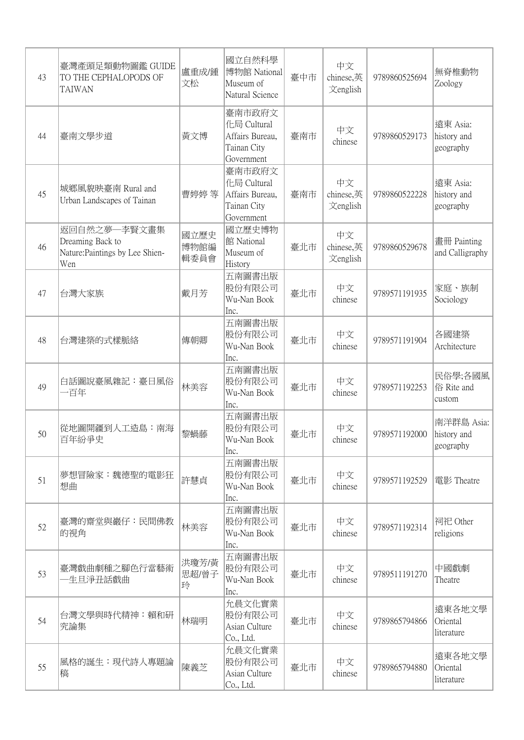| 43 | 臺灣產頭足類動物圖鑑 GUIDE<br>TO THE CEPHALOPODS OF<br><b>TAIWAN</b>                 | 盧重成/鍾<br>文松          | 國立自然科學<br>博物館 National<br>Museum of<br>Natural Science                | 臺中市 | 中文<br>chinese,英<br>文english | 9789860525694 | 無脊椎動物<br>Zoology                       |
|----|----------------------------------------------------------------------------|----------------------|-----------------------------------------------------------------------|-----|-----------------------------|---------------|----------------------------------------|
| 44 | 臺南文學步道                                                                     | 黃文博                  | 臺南市政府文<br>化局 Cultural<br>Affairs Bureau,<br>Tainan City<br>Government | 臺南市 | 中文<br>chinese               | 9789860529173 | 遠東 Asia:<br>history and<br>geography   |
| 45 | 城鄉風貌映臺南 Rural and<br>Urban Landscapes of Tainan                            | 曹婷婷 等                | 臺南市政府文<br>化局 Cultural<br>Affairs Bureau,<br>Tainan City<br>Government | 臺南市 | 中文<br>chinese,英<br>文english | 9789860522228 | 遠東 Asia:<br>history and<br>geography   |
| 46 | 返回自然之夢一李賢文畫集<br>Dreaming Back to<br>Nature: Paintings by Lee Shien-<br>Wen | 國立歷史<br>博物館編<br>輯委員會 | 國立歷史博物<br>館 National<br>Museum of<br>History                          | 臺北市 | 中文<br>chinese,英<br>文english | 9789860529678 | 畫冊 Painting<br>and Calligraphy         |
| 47 | 台灣大家族                                                                      | 戴月芳                  | 五南圖書出版<br>股份有限公司<br>Wu-Nan Book<br>Inc.                               | 臺北市 | 中文<br>chinese               | 9789571191935 | 家庭、族制<br>Sociology                     |
| 48 | 台灣建築的式樣脈絡                                                                  | 傳朝卿                  | 五南圖書出版<br>股份有限公司<br>Wu-Nan Book<br>Inc.                               | 臺北市 | 中文<br>chinese               | 9789571191904 | 各國建築<br>Architecture                   |
| 49 | 白話圖說臺風雜記:臺日風俗<br>一百年                                                       | 林美容                  | 五南圖書出版<br>股份有限公司<br>Wu-Nan Book<br>Inc.                               | 臺北市 | 中文<br>chinese               | 9789571192253 | 民俗學;各國風<br>俗 Rite and<br>custom        |
| 50 | 從地圖開疆到人工造島:南海<br>百年紛爭史                                                     | 黎蝸藤                  | 五南圖書出版<br>股份有限公司<br>Wu-Nan Book<br>Inc.                               | 臺北市 | 中文<br>chinese               | 9789571192000 | 南洋群島 Asia:<br>history and<br>geography |
| 51 | 夢想冒險家:魏德聖的電影狂<br>想曲                                                        | 許慧貞                  | 五南圖書出版<br>股份有限公司<br>Wu-Nan Book<br>Inc.                               | 臺北市 | 中文<br>chinese               | 9789571192529 | 電影 Theatre                             |
| 52 | 臺灣的齋堂與巖仔:民間佛教<br>的視角                                                       | 林美容                  | 五南圖書出版<br>股份有限公司<br>Wu-Nan Book<br>Inc.                               | 臺北市 | 中文<br>chinese               | 9789571192314 | 祠祀 Other<br>religions                  |
| 53 | 臺灣戲曲劇種之腳色行當藝術<br>生旦淨丑話戲曲                                                   | 洪瓊芳/黃<br>思超/曾子<br>玲  | 五南圖書出版<br>股份有限公司<br>Wu-Nan Book<br>Inc.                               | 臺北市 | 中文<br>chinese               | 9789511191270 | 中國戲劇<br>Theatre                        |
| 54 | 台灣文學與時代精神:賴和研<br>究論集                                                       | 林瑞明                  | 允晨文化實業<br>股份有限公司<br>Asian Culture<br>Co., Ltd.                        | 臺北市 | 中文<br>chinese               | 9789865794866 | 遠東各地文學<br>Oriental<br>literature       |
| 55 | 風格的誕生:現代詩人專題論<br>稿                                                         | 陳義芝                  | 允晨文化實業<br>股份有限公司<br>Asian Culture<br>Co., Ltd.                        | 臺北市 | 中文<br>chinese               | 9789865794880 | 遠東各地文學<br>Oriental<br>literature       |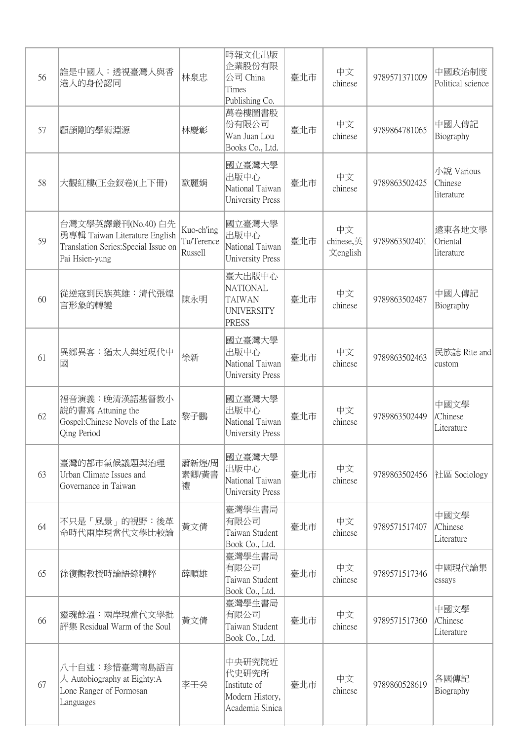| 56 | 誰是中國人:透視臺灣人與香<br>港人的身份認同                                                                                      | 林泉忠                                 | 時報文化出版<br>企業股份有限<br>公司 China<br>Times<br>Publishing Co.                         | 臺北市 | 中文<br>chinese               | 9789571371009 | 中國政治制度<br>Political science         |
|----|---------------------------------------------------------------------------------------------------------------|-------------------------------------|---------------------------------------------------------------------------------|-----|-----------------------------|---------------|-------------------------------------|
| 57 | 顧頡剛的學術淵源                                                                                                      | 林慶彰                                 | 萬卷樓圖書股<br>份有限公司<br>Wan Juan Lou<br>Books Co., Ltd.                              | 臺北市 | 中文<br>chinese               | 9789864781065 | 中國人傳記<br>Biography                  |
| 58 | 大觀紅樓(正金釵卷)(上下冊)                                                                                               | 歐麗娟                                 | 國立臺灣大學<br>出版中心<br>National Taiwan<br><b>University Press</b>                    | 臺北市 | 中文<br>chinese               | 9789863502425 | 小說 Various<br>Chinese<br>literature |
| 59 | 台灣文學英譯叢刊(No.40) 白先<br>勇專輯 Taiwan Literature English<br>Translation Series: Special Issue on<br>Pai Hsien-yung | Kuo-ch'ing<br>Tu/Terence<br>Russell | 國立臺灣大學<br>出版中心<br>National Taiwan<br><b>University Press</b>                    | 臺北市 | 中文<br>chinese,英<br>文english | 9789863502401 | 遠東各地文學<br>Oriental<br>literature    |
| 60 | 從逆寇到民族英雄:清代張煌<br>言形象的轉變                                                                                       | 陳永明                                 | 臺大出版中心<br><b>NATIONAL</b><br><b>TAIWAN</b><br><b>UNIVERSITY</b><br><b>PRESS</b> | 臺北市 | 中文<br>chinese               | 9789863502487 | 中國人傳記<br>Biography                  |
| 61 | 異鄉異客:猶太人與近現代中<br>國                                                                                            | 徐新                                  | 國立臺灣大學<br>出版中心<br>National Taiwan<br><b>University Press</b>                    | 臺北市 | 中文<br>chinese               | 9789863502463 | 民族誌 Rite and<br>custom              |
| 62 | 福音演義:晚清漢語基督教小<br>說的書寫 Attuning the<br>Gospel:Chinese Novels of the Late<br>Qing Period                        | 黎子鵬                                 | 國立臺灣大學<br>出版中心<br>National Taiwan<br><b>University Press</b>                    | 臺北市 | 中文<br>chinese               | 9789863502449 | 中國文學<br>/Chinese<br>Literature      |
| 63 | 臺灣的都市氣候議題與治理<br>Urban Climate Issues and<br>Governance in Taiwan                                              | 蕭新煌/周<br>素卿/黄書<br>禮                 | 國立臺灣大學<br>出版中心<br>National Taiwan<br><b>University Press</b>                    | 臺北市 | 中文<br>chinese               | 9789863502456 | 社區 Sociology                        |
| 64 | 不只是「風景」的視野:後革<br>命時代兩岸現當代文學比較論                                                                                | 黃文倩                                 | 臺灣學生書局<br>有限公司<br>Taiwan Student<br>Book Co., Ltd.                              | 臺北市 | 中文<br>chinese               | 9789571517407 | 中國文學<br>/Chinese<br>Literature      |
| 65 | 徐復觀教授時論語錄精粹                                                                                                   | 薛順雄                                 | 臺灣學生書局<br>有限公司<br>Taiwan Student<br>Book Co., Ltd.                              | 臺北市 | 中文<br>chinese               | 9789571517346 | 中國現代論集<br>essays                    |
| 66 | 靈魂餘溫:兩岸現當代文學批<br>評集 Residual Warm of the Soul                                                                 | 黃文倩                                 | 臺灣學生書局<br>有限公司<br>Taiwan Student<br>Book Co., Ltd.                              | 臺北市 | 中文<br>chinese               | 9789571517360 | 中國文學<br>/Chinese<br>Literature      |
| 67 | 八十自述:珍惜臺灣南島語言<br>$\lambda$ Autobiography at Eighty: A<br>Lone Ranger of Formosan<br>Languages                 | 李壬癸                                 | 中央研究院近<br>代史研究所<br>Institute of<br>Modern History,<br>Academia Sinica           | 臺北市 | 中文<br>chinese               | 9789860528619 | 各國傳記<br>Biography                   |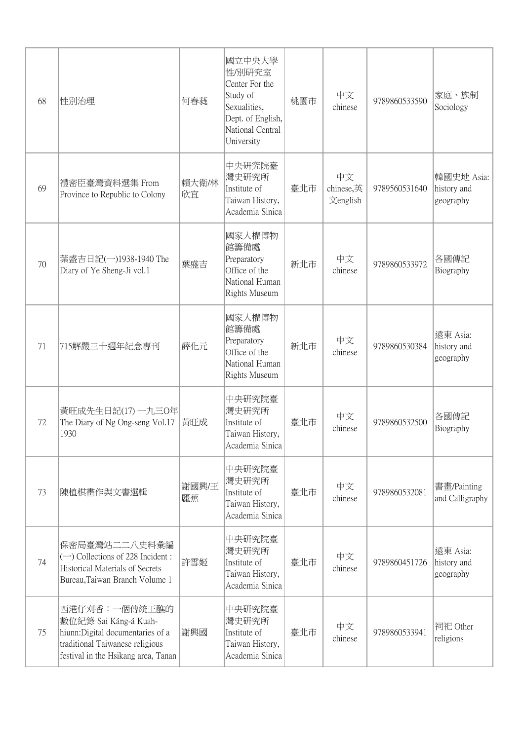| 68 | 性別治理                                                                                                                                                  | 何春蕤         | 國立中央大學<br>性/別研究室<br>Center For the<br>Study of<br>Sexualities,<br>Dept. of English,<br>National Central<br>University | 桃園市 | 中文<br>chinese               | 9789860533590 | 家庭、族制<br>Sociology                     |
|----|-------------------------------------------------------------------------------------------------------------------------------------------------------|-------------|-----------------------------------------------------------------------------------------------------------------------|-----|-----------------------------|---------------|----------------------------------------|
| 69 | 禮密臣臺灣資料選集 From<br>Province to Republic to Colony                                                                                                      | 賴大衛/林<br>欣宜 | 中央研究院臺<br>灣史研究所<br>Institute of<br>Taiwan History,<br>Academia Sinica                                                 | 臺北市 | 中文<br>chinese,英<br>文english | 9789560531640 | 韓國史地 Asia:<br>history and<br>geography |
| 70 | 葉盛吉日記(一)1938-1940 The<br>Diary of Ye Sheng-Ji vol.1                                                                                                   | 葉盛吉         | 國家人權博物<br>館籌備處<br>Preparatory<br>Office of the<br>National Human<br>Rights Museum                                     | 新北市 | 中文<br>chinese               | 9789860533972 | 各國傳記<br>Biography                      |
| 71 | 715解嚴三十週年紀念專刊                                                                                                                                         | 薛化元         | 國家人權博物<br>館籌備處<br>Preparatory<br>Office of the<br>National Human<br>Rights Museum                                     | 新北市 | 中文<br>chinese               | 9789860530384 | 遠東 Asia:<br>history and<br>geography   |
| 72 | 黃旺成先生日記(17) 一九三0年<br>The Diary of Ng Ong-seng Vol.17<br>1930                                                                                          | 黃旺成         | 中央研究院臺<br>灣史研究所<br>Institute of<br>Taiwan History,<br>Academia Sinica                                                 | 臺北市 | 中文<br>chinese               | 9789860532500 | 各國傳記<br>Biography                      |
| 73 | 陳植棋畫作與文書選輯                                                                                                                                            | 謝國興/王<br>麗蕉 | 中央研究院臺<br>灣史研究所<br>Institute of<br>Taiwan History,<br>Academia Sinica                                                 | 臺北市 | 中文<br>chinese               | 9789860532081 | 書畫/Painting<br>and Calligraphy         |
| 74 | 保密局臺灣站二二八史料彙編<br>$\left(\rightarrow\right)$ Collections of 228 Incident:<br>Historical Materials of Secrets<br>Bureau, Taiwan Branch Volume 1         | 許雪姬         | 中央研究院臺<br>灣史研究所<br>Institute of<br>Taiwan History,<br>Academia Sinica                                                 | 臺北市 | 中文<br>chinese               | 9789860451726 | 遠東 Asia:<br>history and<br>geography   |
| 75 | 西港仔刈香:一個傳統王醮的<br>數位紀錄 Sai Káng-á Kuah-<br>hiunn: Digital documentaries of a<br>traditional Taiwanese religious<br>festival in the Hsikang area, Tanan | 謝興國         | 中央研究院臺<br>灣史研究所<br>Institute of<br>Taiwan History,<br>Academia Sinica                                                 | 臺北市 | 中文<br>chinese               | 9789860533941 | 祠祀 Other<br>religions                  |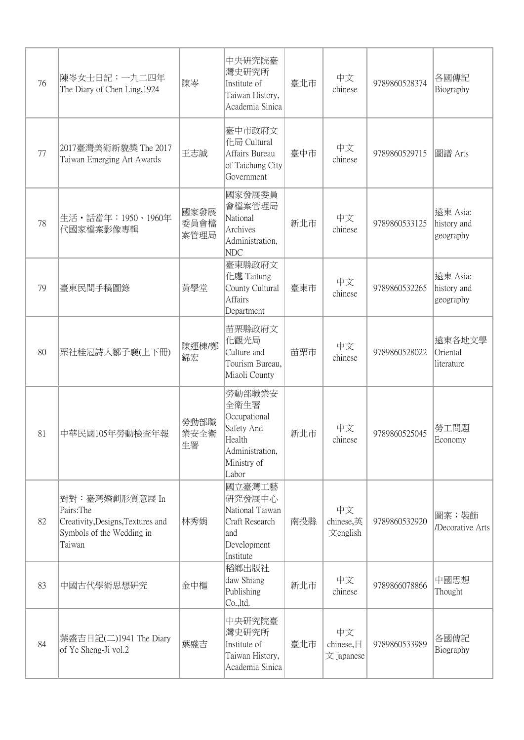| 76 | 陳岑女士日記: 一九二四年<br>The Diary of Chen Ling, 1924                                                            | 陳岑                   | 中央研究院臺<br>灣史研究所<br>Institute of<br>Taiwan History,<br>Academia Sinica                             | 臺北市 | 中文<br>chinese                 | 9789860528374 | 各國傳記<br>Biography                    |
|----|----------------------------------------------------------------------------------------------------------|----------------------|---------------------------------------------------------------------------------------------------|-----|-------------------------------|---------------|--------------------------------------|
| 77 | 2017臺灣美術新貌獎 The 2017<br>Taiwan Emerging Art Awards                                                       | 王志誠                  | 臺中市政府文<br>化局 Cultural<br>Affairs Bureau<br>of Taichung City<br>Government                         | 臺中市 | 中文<br>chinese                 | 9789860529715 | 圖譜 Arts                              |
| 78 | 生活·話當年: 1950、1960年<br>代國家檔案影像專輯                                                                          | 國家發展<br>委員會檔<br>案管理局 | 國家發展委員<br>會檔案管理局<br>National<br>Archives<br>Administration,<br><b>NDC</b>                         | 新北市 | 中文<br>chinese                 | 9789860533125 | 遠東 Asia:<br>history and<br>geography |
| 79 | 臺東民間手稿圖錄                                                                                                 | 黃學堂                  | 臺東縣政府文<br>化處 Taitung<br>County Cultural<br>Affairs<br>Department                                  | 臺東市 | 中文<br>chinese                 | 9789860532265 | 遠東 Asia:<br>history and<br>geography |
| 80 | 栗社桂冠詩人鄒子襄(上下冊)                                                                                           | 陳運棟/鄭<br>錦宏          | 苗栗縣政府文<br>化觀光局<br>Culture and<br>Tourism Bureau,<br>Miaoli County                                 | 苗栗市 | 中文<br>chinese                 | 9789860528022 | 遠東各地文學<br>Oriental<br>literature     |
| 81 | 中華民國105年勞動檢查年報                                                                                           | 勞動部職<br>業安全衛<br>生署   | 勞動部職業安<br>全衛生署<br>Occupational<br>Safety And<br>Health<br>Administration,<br>Ministry of<br>Labor | 新北市 | 中文<br>chinese                 | 9789860525045 | 勞工問題<br>Economy                      |
| 82 | 對對:臺灣婚創形質意展 In<br>Pairs: The<br>Creativity, Designs, Textures and<br>Symbols of the Wedding in<br>Taiwan | 林秀娟                  | 國立臺灣工藝<br>研究發展中心<br>National Taiwan<br>Craft Research<br>and<br>Development<br>Institute          | 南投縣 | 中文<br>chinese,英<br>文english   | 9789860532920 | 圖案;裝飾<br>/Decorative Arts            |
| 83 | 中國古代學術思想研究                                                                                               | 金中樞                  | 稻鄉出版社<br>daw Shiang<br>Publishing<br>Co.,ltd.                                                     | 新北市 | 中文<br>chinese                 | 9789866078866 | 中國思想<br>Thought                      |
| 84 | 葉盛吉日記(二)1941 The Diary<br>of Ye Sheng-Ji vol.2                                                           | 葉盛吉                  | 中央研究院臺<br>灣史研究所<br>Institute of<br>Taiwan History,<br>Academia Sinica                             | 臺北市 | 中文<br>chinese,日<br>文 japanese | 9789860533989 | 各國傳記<br>Biography                    |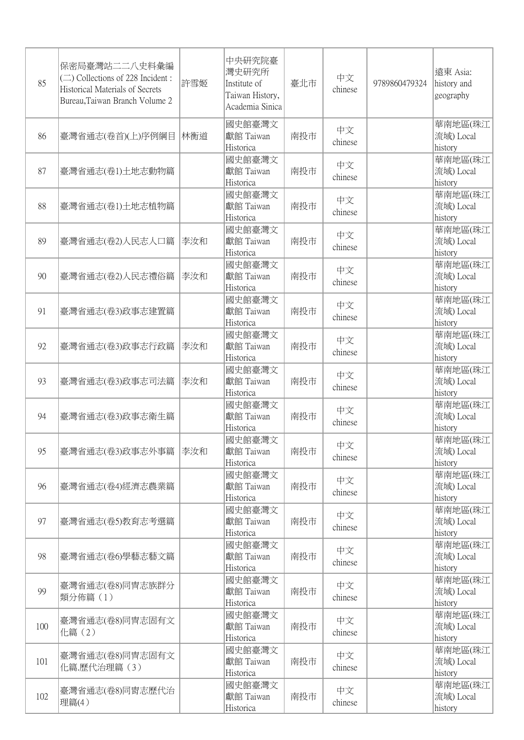| 85  | 保密局臺灣站二二八史料彙編<br>$(\square)$ Collections of 228 Incident:<br>Historical Materials of Secrets<br>Bureau, Taiwan Branch Volume 2 | 許雪姬 | 中央研究院臺<br>灣史研究所<br>Institute of<br>Taiwan History,<br>Academia Sinica | 臺北市 | 中文<br>chinese | 9789860479324 | 遠東 Asia:<br>history and<br>geography |
|-----|--------------------------------------------------------------------------------------------------------------------------------|-----|-----------------------------------------------------------------------|-----|---------------|---------------|--------------------------------------|
| 86  | 臺灣省通志(卷首)(上)序例綱目                                                                                                               | 林衡道 | 國史館臺灣文<br>獻館 Taiwan<br>Historica                                      | 南投市 | 中文<br>chinese |               | 華南地區(珠江<br>流域) Local<br>history      |
| 87  | 臺灣省通志(卷1)土地志動物篇                                                                                                                |     | 國史館臺灣文<br>獻館 Taiwan<br>Historica                                      | 南投市 | 中文<br>chinese |               | 華南地區(珠江<br>流域) Local<br>history      |
| 88  | 臺灣省通志(卷1)土地志植物篇                                                                                                                |     | 國史館臺灣文<br>獻館 Taiwan<br>Historica                                      | 南投市 | 中文<br>chinese |               | 華南地區(珠江<br>流域) Local<br>history      |
| 89  | 臺灣省通志(卷2)人民志人口篇                                                                                                                | 李汝和 | 國史館臺灣文<br>獻館 Taiwan<br>Historica                                      | 南投市 | 中文<br>chinese |               | 華南地區(珠江<br>流域) Local<br>history      |
| 90  | 臺灣省通志(卷2)人民志禮俗篇                                                                                                                | 李汝和 | 國史館臺灣文<br>獻館 Taiwan<br>Historica                                      | 南投市 | 中文<br>chinese |               | 華南地區(珠江<br>流域) Local<br>history      |
| 91  | 臺灣省通志(卷3)政事志建置篇                                                                                                                |     | 國史館臺灣文<br>獻館 Taiwan<br>Historica                                      | 南投市 | 中文<br>chinese |               | 華南地區(珠江<br>流域) Local<br>history      |
| 92  | 臺灣省通志(卷3)政事志行政篇                                                                                                                | 李汝和 | 國史館臺灣文<br>獻館 Taiwan<br>Historica                                      | 南投市 | 中文<br>chinese |               | 華南地區(珠江<br>流域) Local<br>history      |
| 93  | 臺灣省通志(卷3)政事志司法篇                                                                                                                | 李汝和 | 國史館臺灣文<br>獻館 Taiwan<br>Historica                                      | 南投市 | 中文<br>chinese |               | 華南地區(珠江<br>流域) Local<br>history      |
| 94  | 臺灣省通志(卷3)政事志衛生篇                                                                                                                |     | 國史館臺灣文<br>獻館 Taiwan<br>Historica                                      | 南投市 | 中文<br>chinese |               | 華南地區(珠江<br>流域) Local<br>history      |
| 95  | 臺灣省通志(卷3)政事志外事篇                                                                                                                | 李汝和 | 國史館臺灣文<br>獻館 Taiwan<br>Historica                                      | 南投市 | 中文<br>chinese |               | 華南地區(珠江<br>流域) Local<br>history      |
| 96  | 臺灣省通志(卷4)經濟志農業篇                                                                                                                |     | 國史館臺灣文<br>獻館 Taiwan<br>Historica                                      | 南投市 | 中文<br>chinese |               | 華南地區(珠江<br>流域) Local<br>history      |
| 97  | 臺灣省通志(卷5)教育志考選篇                                                                                                                |     | 國史館臺灣文<br>獻館 Taiwan<br>Historica                                      | 南投市 | 中文<br>chinese |               | 華南地區(珠江<br>流域) Local<br>history      |
| 98  | 臺灣省通志(卷6)學藝志藝文篇                                                                                                                |     | 國史館臺灣文<br>獻館 Taiwan<br>Historica                                      | 南投市 | 中文<br>chinese |               | 華南地區(珠江<br>流域) Local<br>history      |
| 99  | 臺灣省通志(卷8)同冑志族群分<br>類分佈篇(1)                                                                                                     |     | 國史館臺灣文<br>獻館 Taiwan<br>Historica                                      | 南投市 | 中文<br>chinese |               | 華南地區(珠江<br>流域) Local<br>history      |
| 100 | 臺灣省通志(卷8)同胄志固有文<br>化篇(2)                                                                                                       |     | 國史館臺灣文<br>獻館 Taiwan<br>Historica                                      | 南投市 | 中文<br>chinese |               | 華南地區(珠江<br>流域) Local<br>history      |
| 101 | 臺灣省通志(卷8)同胄志固有文<br>化篇.歷代治理篇(3)                                                                                                 |     | 國史館臺灣文<br>獻館 Taiwan<br>Historica                                      | 南投市 | 中文<br>chinese |               | 華南地區(珠江<br>流域) Local<br>history      |
| 102 | 臺灣省通志(卷8)同冑志歷代治<br>理篇(4)                                                                                                       |     | 國史館臺灣文<br>獻館 Taiwan<br>Historica                                      | 南投市 | 中文<br>chinese |               | 華南地區(珠江<br>流域) Local<br>history      |